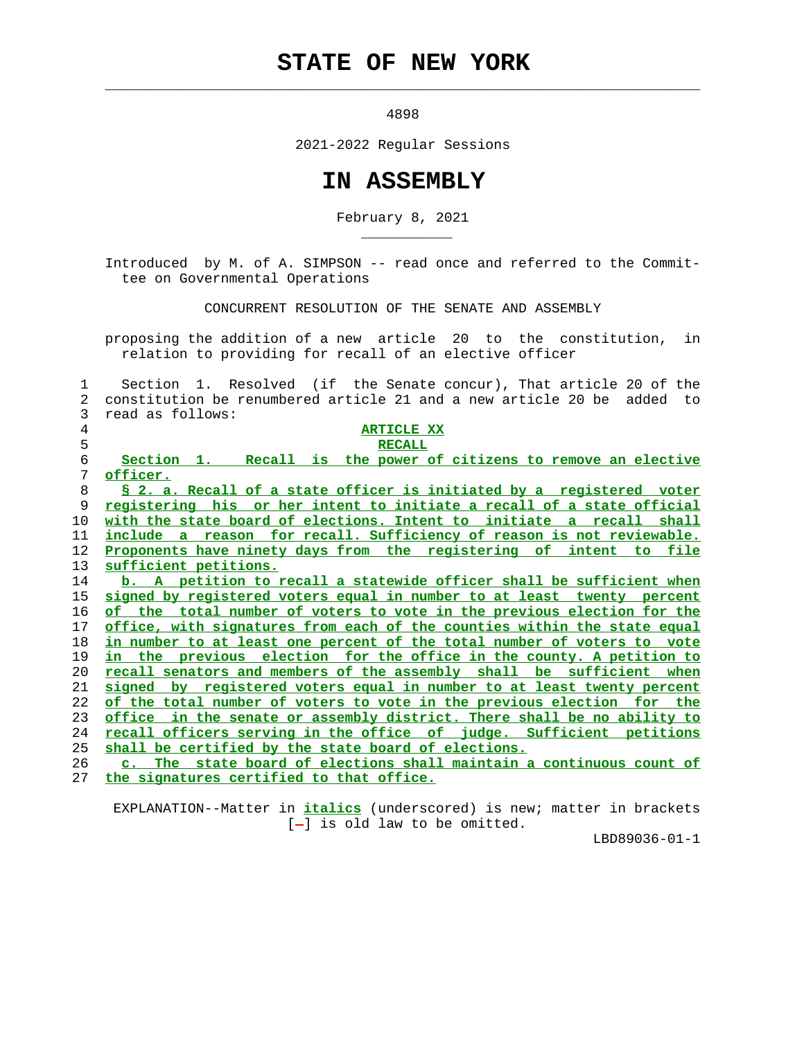## **STATE OF NEW YORK**

 $\mathcal{L}_\text{max} = \frac{1}{2} \sum_{i=1}^{n} \frac{1}{2} \sum_{i=1}^{n} \frac{1}{2} \sum_{i=1}^{n} \frac{1}{2} \sum_{i=1}^{n} \frac{1}{2} \sum_{i=1}^{n} \frac{1}{2} \sum_{i=1}^{n} \frac{1}{2} \sum_{i=1}^{n} \frac{1}{2} \sum_{i=1}^{n} \frac{1}{2} \sum_{i=1}^{n} \frac{1}{2} \sum_{i=1}^{n} \frac{1}{2} \sum_{i=1}^{n} \frac{1}{2} \sum_{i=1}^{n} \frac{1$ 

\_\_\_\_\_\_\_\_\_\_\_

4898

2021-2022 Regular Sessions

## **IN ASSEMBLY**

February 8, 2021

 Introduced by M. of A. SIMPSON -- read once and referred to the Commit tee on Governmental Operations

CONCURRENT RESOLUTION OF THE SENATE AND ASSEMBLY

 proposing the addition of a new article 20 to the constitution, in relation to providing for recall of an elective officer

 1 Section 1. Resolved (if the Senate concur), That article 20 of the 2 constitution be renumbered article 21 and a new article 20 be added to 3 read as follows: **ARTICLE XX** 5 **RECALL Section 1. Recall is the power of citizens to remove an elective officer. § 2. a. Recall of a state officer is initiated by a registered voter registering his or her intent to initiate a recall of a state official with the state board of elections. Intent to initiate a recall shall include a reason for recall. Sufficiency of reason is not reviewable. Proponents have ninety days from the registering of intent to file sufficient petitions. b. A petition to recall a statewide officer shall be sufficient when signed by registered voters equal in number to at least twenty percent of the total number of voters to vote in the previous election for the office, with signatures from each of the counties within the state equal in number to at least one percent of the total number of voters to vote in the previous election for the office in the county. A petition to recall senators and members of the assembly shall be sufficient when signed by registered voters equal in number to at least twenty percent of the total number of voters to vote in the previous election for the office in the senate or assembly district. There shall be no ability to recall officers serving in the office of judge. Sufficient petitions shall be certified by the state board of elections. c. The state board of elections shall maintain a continuous count of the signatures certified to that office.**

 EXPLANATION--Matter in **italics** (underscored) is new; matter in brackets  $[-]$  is old law to be omitted.

LBD89036-01-1